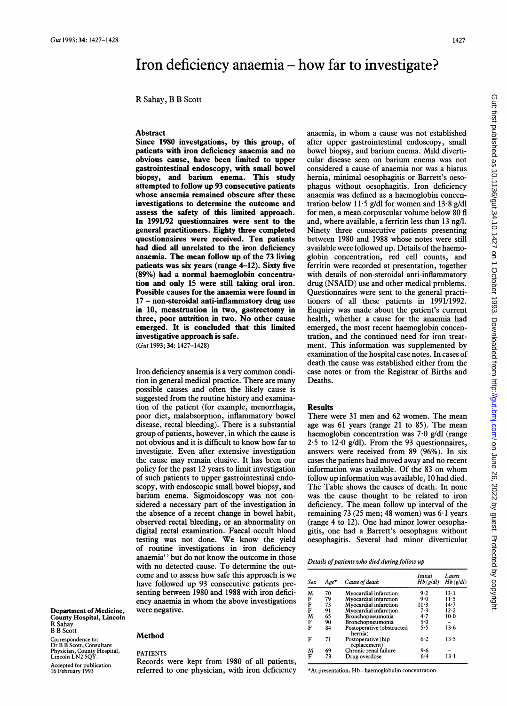# Iron deficiency anaemia – how far to investigate?

R Sahay, B B Scott

## Abstract

Since 1980 investgations, by this group, of patients with iron deficiency anaemia and no obvious cause, have been limited to upper gastrointestinal endoscopy, with small bowel biopsy, and barium enema. This study attempted to follow up 93 consecutive patients whose anaemia remained obscure after these investigations to determine the outcome and assess the safety of this limited approach. In 1991/92 questionnaires were sent to the general practitioners. Eighty three completed questionnaires were received. Ten patients had died all unrelated to the iron deficiency anaemia. The mean follow up of the 73 living patients was six years (range 4-12). Sixty five (89%) had a normal haemoglobin concentration and only 15 were still taking oral iron. Possible causes for the anaemia were found in 17 - non-steroidal anti-inflammatory drug use in 10, menstruation in two, gastrectomy in three, poor nutrition in two. No other cause emerged. It is concluded that this limited investigative approach is safe. (Gut 1993; 34: 1427-1428)

Iron deficiency anaemia is <sup>a</sup> very common condition in general medical practice. There are many possible causes and often the likely cause is suggested from the routine history and examination of the patient (for example, menorrhagia, poor diet, malabsorption, inflammatory bowel disease, rectal bleeding). There is a substantial group of patients, however, in which the cause is not obvious and it is difficult to know how far to investigate. Even after extensive investigation the cause may remain elusive. It has been our policy for the past 12 years to limit investigation of such patients to upper gastrointestinal endoscopy, with endoscopic small bowel biopsy, and barium enema. Sigmoidoscopy was not considered a necessary part of the investigation in the absence of a recent change in bowel habit, observed rectal bleeding, or an abnormality on digital rectal examination. Faecal occult blood testing was not done. We know the yield of routine investigations in iron deficiency anaemia<sup>12</sup> but do not know the outcome in those with no detected cause. To determine the outcome and to assess how safe this approach is we have followed up 93 consecutive patients presenting between 1980 and 1988 with iron deficiency anaemia in whom the above investigations were negative.

Department of Medicine, County Hospital, Lincoln R Sahay B B Scott Correspondence to: Dr B B Scott, Consultant Physician, County Hospital, Lincoln LN2 5QY. Accepted for publication 16 February 1993

### Method

#### PATIENTS

Records were kept from 1980 of all patients, referred to one physician, with iron deficiency anaemia, in whom <sup>a</sup> cause was not established after upper gastrointestinal endoscopy, small bowel biopsy, and barium enema. Mild diverticular disease seen on barium enema was not considered a cause of anaemia nor was a hiatus hernia, minimal oesophagitis or Barrett's oesophagus without oesophagitis. Iron deficiency anaemia was defined as a haemoglobin concentration below 11.5 g/dl for women and  $13.8$  g/dl for men, a mean corpuscular volume below 80 fl and, where available, a ferritin less than 13 ng/l. Ninety three consecutive patients presenting between 1980 and 1988 whose notes were still available were followed up. Details of the haemoglobin concentration, red cell counts, and ferritin were recorded at presentation, together with details of non-steroidal anti-inflammatory drug (NSAID) use and other medical problems. Questionnaires were sent to the general practitioners of all these patients in 1991/1992. Enquiry was made about the patient's current health, whether a cause for the anaemia had emerged, the most recent haemoglobin concentration, and the continued need for iron treatment. This information was supplemented by examination of the hospital case notes. In cases of death the cause was established either from the case notes or from the Registrar of Births and Deaths.

## Results

There were 31 men and 62 women. The mean age was 61 years (range 21 to 85). The mean haemoglobin concentration was 7-0 g/dl (range  $2.5$  to  $12.0$  g/dl). From the 93 questionnaires, answers were received from 89 (96%). In six cases the patients had moved away and no recent information was available. Of the <sup>83</sup> on whom follow up information was available, 10 had died. The Table shows the causes of death. In none was the cause thought to be related to iron deficiency. The mean follow up interval of the remaining 73 (25 men; 48 women) was  $6·l$  years (range 4 to 12). One had minor lower oesophagitis, one had a Barrett's oesophagus without oesophagitis. Several had minor diverticular

| Details of patients who died during follow up |  |  |  |  |  |  |  |
|-----------------------------------------------|--|--|--|--|--|--|--|
|-----------------------------------------------|--|--|--|--|--|--|--|

| Sex | Age* | Cause of death                       | Initial<br>$Hb$ (g/dl) | Latest<br>$Hb$ (g/dl) |
|-----|------|--------------------------------------|------------------------|-----------------------|
| M   | 70   | Myocardial infarction                | 9.2                    | $13-1$                |
| F   | 79   | Myocardial infarction                | 9.0                    | $11 - 5$              |
| F   | 73   | Myocardial infarction                | 11-3                   | $14 - 7$              |
| F   | 91   | Myocardial infarction                | 7.3                    | $12 - 2$              |
| M   | 65   | Bronchopneumonia                     | 4.7                    | $10-0$                |
| F   | 90   | Bronchopneumonia                     | 5.0                    |                       |
| F   | 84   | Postoperative (obstructed<br>hernia) | 5.5                    | 13.6                  |
| F   | 71   | Postoperative (hip<br>replacement)   | 6.2                    | 13.5                  |
| M   | 69   | Chronic renal failure                | 9.6                    |                       |
| F   | 73   | Drug overdose                        | $6 - 4$                | 13-1                  |

\*At presentation, Hb=haemoglobulin concentration.